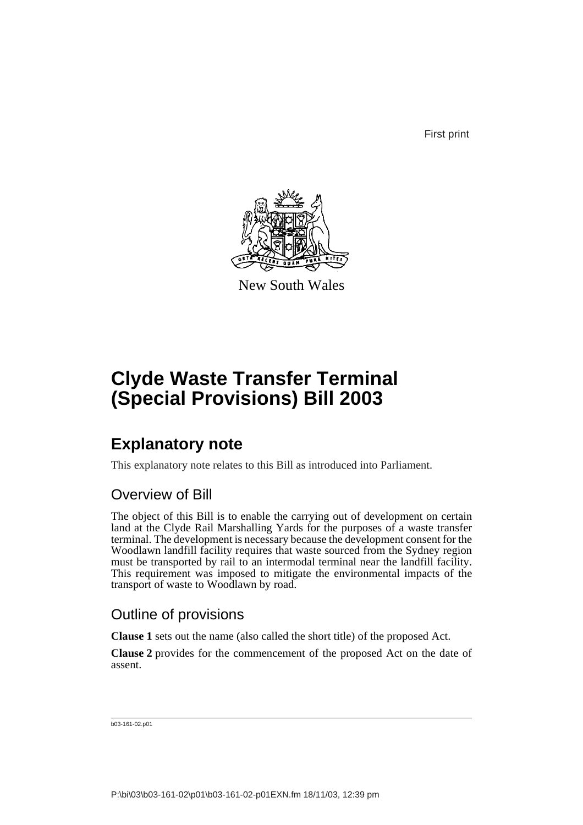First print



New South Wales

# **Clyde Waste Transfer Terminal (Special Provisions) Bill 2003**

## **Explanatory note**

This explanatory note relates to this Bill as introduced into Parliament.

### Overview of Bill

The object of this Bill is to enable the carrying out of development on certain land at the Clyde Rail Marshalling Yards for the purposes of a waste transfer terminal. The development is necessary because the development consent for the Woodlawn landfill facility requires that waste sourced from the Sydney region must be transported by rail to an intermodal terminal near the landfill facility. This requirement was imposed to mitigate the environmental impacts of the transport of waste to Woodlawn by road.

#### Outline of provisions

**Clause 1** sets out the name (also called the short title) of the proposed Act.

**Clause 2** provides for the commencement of the proposed Act on the date of assent.

b03-161-02.p01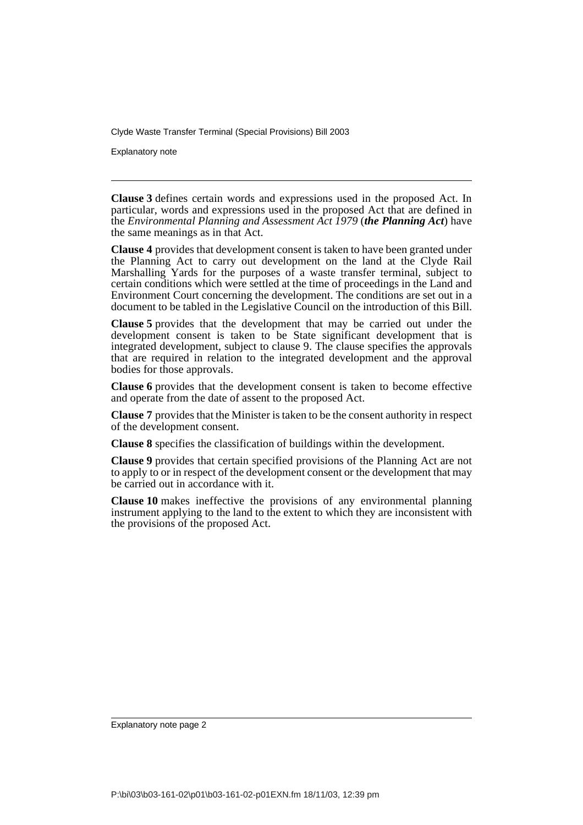Clyde Waste Transfer Terminal (Special Provisions) Bill 2003

Explanatory note

**Clause 3** defines certain words and expressions used in the proposed Act. In particular, words and expressions used in the proposed Act that are defined in the *Environmental Planning and Assessment Act 1979* (*the Planning Act*) have the same meanings as in that Act.

**Clause 4** provides that development consent is taken to have been granted under the Planning Act to carry out development on the land at the Clyde Rail Marshalling Yards for the purposes of a waste transfer terminal, subject to certain conditions which were settled at the time of proceedings in the Land and Environment Court concerning the development. The conditions are set out in a document to be tabled in the Legislative Council on the introduction of this Bill.

**Clause 5** provides that the development that may be carried out under the development consent is taken to be State significant development that is integrated development, subject to clause 9. The clause specifies the approvals that are required in relation to the integrated development and the approval bodies for those approvals.

**Clause 6** provides that the development consent is taken to become effective and operate from the date of assent to the proposed Act.

**Clause 7** provides that the Minister is taken to be the consent authority in respect of the development consent.

**Clause 8** specifies the classification of buildings within the development.

**Clause 9** provides that certain specified provisions of the Planning Act are not to apply to or in respect of the development consent or the development that may be carried out in accordance with it.

**Clause 10** makes ineffective the provisions of any environmental planning instrument applying to the land to the extent to which they are inconsistent with the provisions of the proposed Act.

Explanatory note page 2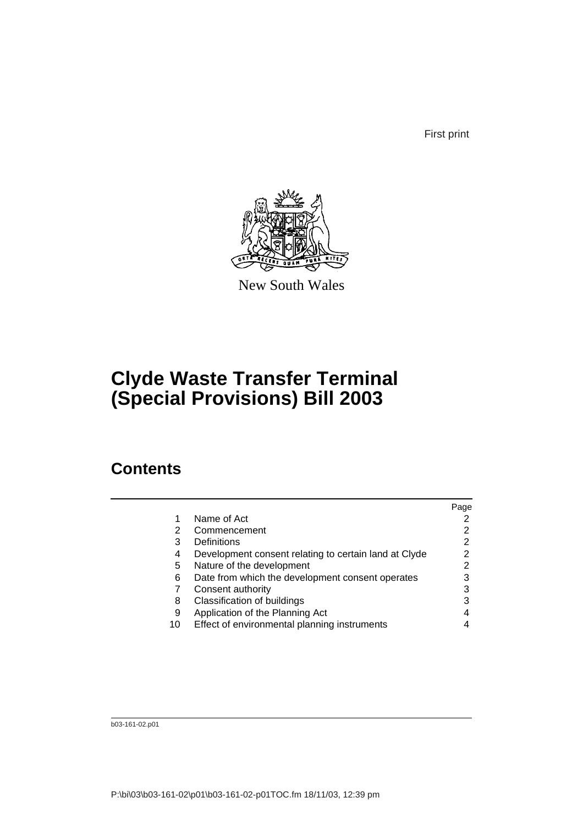First print



New South Wales

## **Clyde Waste Transfer Terminal (Special Provisions) Bill 2003**

### **Contents**

|    |                                                       | Page |
|----|-------------------------------------------------------|------|
|    | Name of Act                                           |      |
| 2  | Commencement                                          | 2    |
| 3  | Definitions                                           | 2    |
| 4  | Development consent relating to certain land at Clyde |      |
| 5  | Nature of the development                             | 2    |
| 6  | Date from which the development consent operates      | 3    |
|    | Consent authority                                     | 3    |
| 8  | Classification of buildings                           | 3    |
| 9  | Application of the Planning Act                       |      |
| 10 | Effect of environmental planning instruments          |      |
|    |                                                       |      |

b03-161-02.p01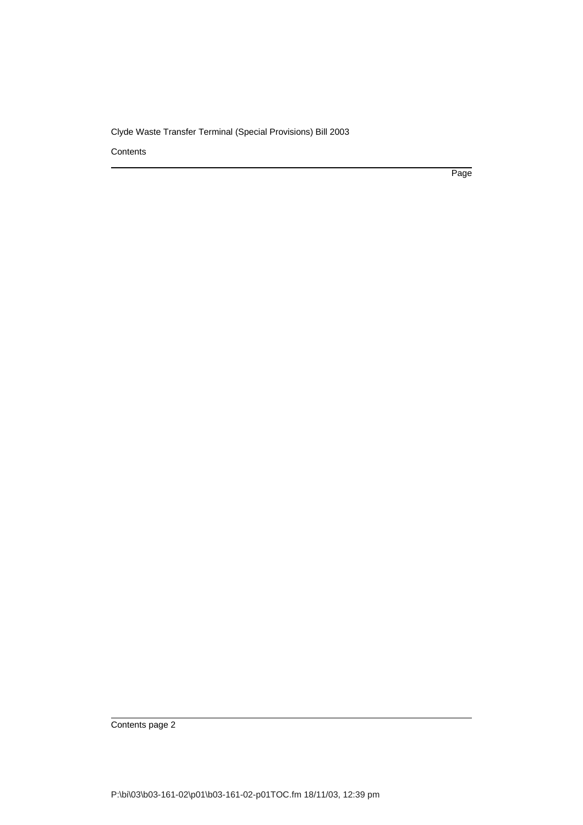#### Clyde Waste Transfer Terminal (Special Provisions) Bill 2003

**Contents** 

Page

Contents page 2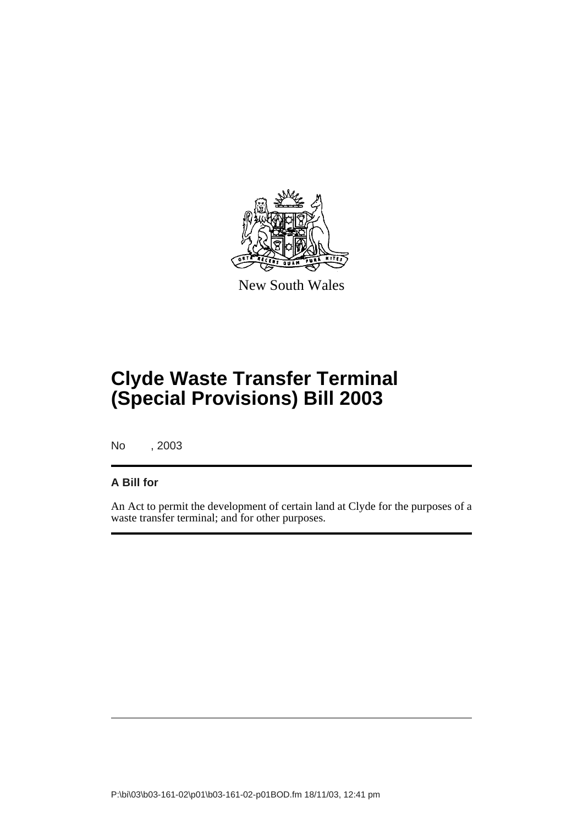

New South Wales

# **Clyde Waste Transfer Terminal (Special Provisions) Bill 2003**

No , 2003

#### **A Bill for**

An Act to permit the development of certain land at Clyde for the purposes of a waste transfer terminal; and for other purposes.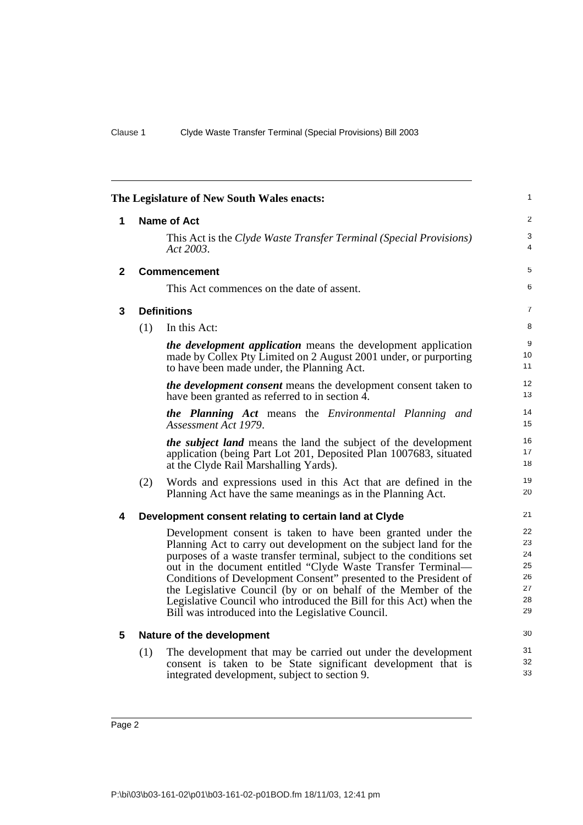<span id="page-5-4"></span><span id="page-5-3"></span><span id="page-5-2"></span><span id="page-5-1"></span><span id="page-5-0"></span>

| The Legislature of New South Wales enacts: |     | $\mathbf{1}$                                                                                                                                                                                                                                                                                                                                                                                                                                                                                                                             |                                              |
|--------------------------------------------|-----|------------------------------------------------------------------------------------------------------------------------------------------------------------------------------------------------------------------------------------------------------------------------------------------------------------------------------------------------------------------------------------------------------------------------------------------------------------------------------------------------------------------------------------------|----------------------------------------------|
| 1                                          |     | Name of Act                                                                                                                                                                                                                                                                                                                                                                                                                                                                                                                              | $\overline{2}$                               |
|                                            |     | This Act is the Clyde Waste Transfer Terminal (Special Provisions)<br>Act 2003.                                                                                                                                                                                                                                                                                                                                                                                                                                                          | 3<br>4                                       |
| 2                                          |     | <b>Commencement</b>                                                                                                                                                                                                                                                                                                                                                                                                                                                                                                                      | 5                                            |
|                                            |     | This Act commences on the date of assent.                                                                                                                                                                                                                                                                                                                                                                                                                                                                                                | 6                                            |
| 3                                          |     | <b>Definitions</b>                                                                                                                                                                                                                                                                                                                                                                                                                                                                                                                       | $\overline{7}$                               |
|                                            | (1) | In this Act:                                                                                                                                                                                                                                                                                                                                                                                                                                                                                                                             | 8                                            |
|                                            |     | <i>the development application</i> means the development application<br>made by Collex Pty Limited on 2 August 2001 under, or purporting<br>to have been made under, the Planning Act.                                                                                                                                                                                                                                                                                                                                                   | 9<br>10<br>11                                |
|                                            |     | <i>the development consent</i> means the development consent taken to<br>have been granted as referred to in section 4.                                                                                                                                                                                                                                                                                                                                                                                                                  | 12 <sup>2</sup><br>13                        |
|                                            |     | <b>the Planning Act</b> means the <i>Environmental Planning and</i><br>Assessment Act 1979.                                                                                                                                                                                                                                                                                                                                                                                                                                              | 14<br>15                                     |
|                                            |     | <i>the subject land</i> means the land the subject of the development<br>application (being Part Lot 201, Deposited Plan 1007683, situated<br>at the Clyde Rail Marshalling Yards).                                                                                                                                                                                                                                                                                                                                                      | 16<br>17<br>18                               |
|                                            | (2) | Words and expressions used in this Act that are defined in the<br>Planning Act have the same meanings as in the Planning Act.                                                                                                                                                                                                                                                                                                                                                                                                            | 19<br>20                                     |
| 4                                          |     | Development consent relating to certain land at Clyde                                                                                                                                                                                                                                                                                                                                                                                                                                                                                    | 21                                           |
|                                            |     | Development consent is taken to have been granted under the<br>Planning Act to carry out development on the subject land for the<br>purposes of a waste transfer terminal, subject to the conditions set<br>out in the document entitled "Clyde Waste Transfer Terminal-<br>Conditions of Development Consent" presented to the President of<br>the Legislative Council (by or on behalf of the Member of the<br>Legislative Council who introduced the Bill for this Act) when the<br>Bill was introduced into the Legislative Council. | 22<br>23<br>24<br>25<br>26<br>27<br>28<br>29 |
| 5                                          |     | Nature of the development                                                                                                                                                                                                                                                                                                                                                                                                                                                                                                                | 30                                           |
|                                            | (1) | The development that may be carried out under the development<br>consent is taken to be State significant development that is<br>integrated development, subject to section 9.                                                                                                                                                                                                                                                                                                                                                           | 31<br>32<br>33                               |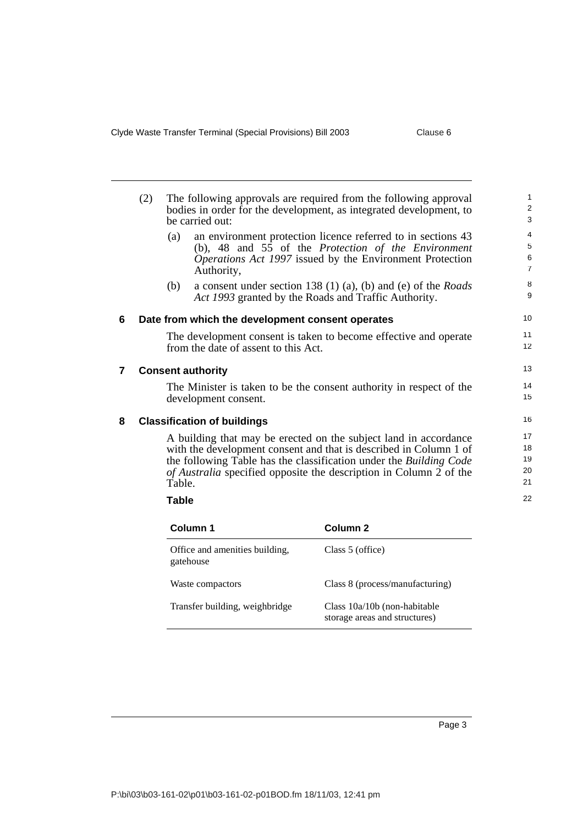Clyde Waste Transfer Terminal (Special Provisions) Bill 2003 Clause 6

<span id="page-6-1"></span><span id="page-6-0"></span>

|   | (2) |              | The following approvals are required from the following approval<br>bodies in order for the development, as integrated development, to<br>be carried out:                                                                                                                                | $\mathbf{1}$<br>2<br>3                     |
|---|-----|--------------|------------------------------------------------------------------------------------------------------------------------------------------------------------------------------------------------------------------------------------------------------------------------------------------|--------------------------------------------|
|   |     | (a)          | an environment protection licence referred to in sections 43<br>(b), 48 and 55 of the <i>Protection of the Environment</i><br><i>Operations Act 1997</i> issued by the Environment Protection<br>Authority,                                                                              | $\overline{4}$<br>5<br>6<br>$\overline{7}$ |
|   |     | (b)          | a consent under section 138 (1) (a), (b) and (e) of the Roads<br>Act 1993 granted by the Roads and Traffic Authority.                                                                                                                                                                    | 8<br>9                                     |
| 6 |     |              | Date from which the development consent operates                                                                                                                                                                                                                                         | 10                                         |
|   |     |              | The development consent is taken to become effective and operate<br>from the date of assent to this Act.                                                                                                                                                                                 | 11<br>12                                   |
| 7 |     |              | <b>Consent authority</b>                                                                                                                                                                                                                                                                 | 13                                         |
|   |     |              | The Minister is taken to be the consent authority in respect of the<br>development consent.                                                                                                                                                                                              | 14<br>15                                   |
| 8 |     |              | <b>Classification of buildings</b>                                                                                                                                                                                                                                                       | 16                                         |
|   |     | Table.       | A building that may be erected on the subject land in accordance<br>with the development consent and that is described in Column 1 of<br>the following Table has the classification under the <i>Building Code</i><br>of Australia specified opposite the description in Column 2 of the | 17<br>18<br>19<br>20<br>21                 |
|   |     | <b>Table</b> |                                                                                                                                                                                                                                                                                          | 22                                         |
|   |     |              |                                                                                                                                                                                                                                                                                          |                                            |

<span id="page-6-2"></span>

| Column 1                                    | Column <sub>2</sub>                                              |
|---------------------------------------------|------------------------------------------------------------------|
| Office and amenities building.<br>gatehouse | Class 5 (office)                                                 |
| Waste compactors                            | Class 8 (process/manufacturing)                                  |
| Transfer building, weighbridge              | Class $10a/10b$ (non-habitable)<br>storage areas and structures) |